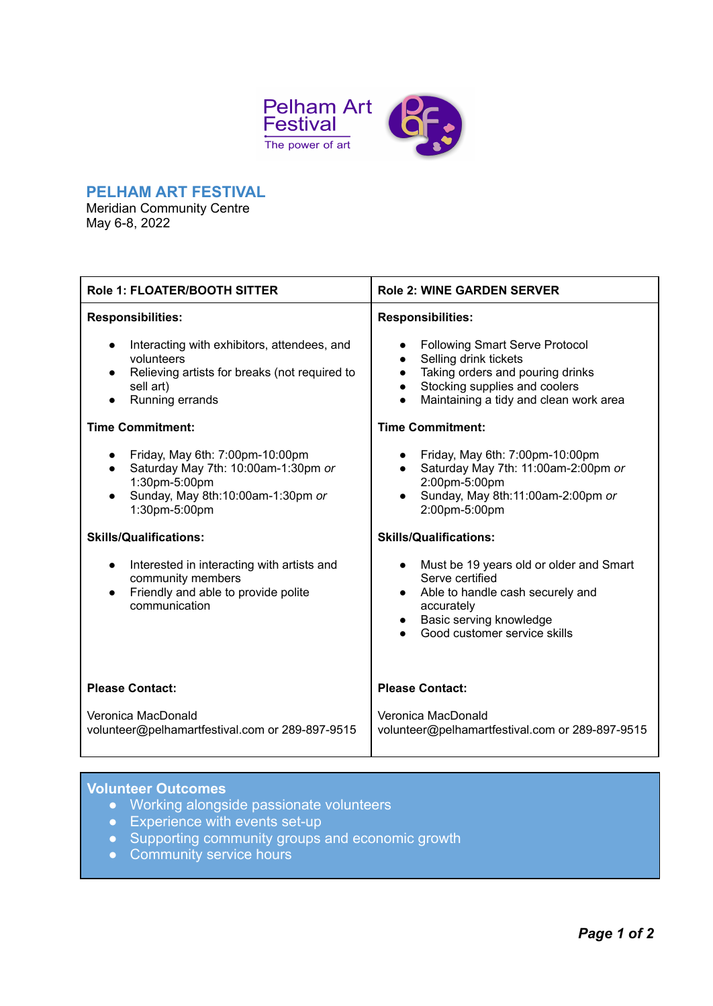

#### **PELHAM ART FESTIVAL**

Meridian Community Centre May 6-8, 2022

| Role 1: FLOATER/BOOTH SITTER                                                                                                                               | <b>Role 2: WINE GARDEN SERVER</b>                                                                                                                                                                       |
|------------------------------------------------------------------------------------------------------------------------------------------------------------|---------------------------------------------------------------------------------------------------------------------------------------------------------------------------------------------------------|
| <b>Responsibilities:</b>                                                                                                                                   | <b>Responsibilities:</b>                                                                                                                                                                                |
| Interacting with exhibitors, attendees, and<br>$\bullet$<br>volunteers<br>Relieving artists for breaks (not required to<br>sell art)<br>Running errands    | <b>Following Smart Serve Protocol</b><br>Selling drink tickets<br>$\bullet$<br>Taking orders and pouring drinks<br>$\bullet$<br>Stocking supplies and coolers<br>Maintaining a tidy and clean work area |
| <b>Time Commitment:</b>                                                                                                                                    | <b>Time Commitment:</b>                                                                                                                                                                                 |
| Friday, May 6th: 7:00pm-10:00pm<br>Saturday May 7th: 10:00am-1:30pm or<br>$\bullet$<br>1:30pm-5:00pm<br>Sunday, May 8th:10:00am-1:30pm or<br>1:30pm-5:00pm | Friday, May 6th: 7:00pm-10:00pm<br>Saturday May 7th: 11:00am-2:00pm or<br>$\bullet$<br>2:00pm-5:00pm<br>Sunday, May 8th:11:00am-2:00pm or<br>2:00pm-5:00pm                                              |
| <b>Skills/Qualifications:</b>                                                                                                                              | <b>Skills/Qualifications:</b>                                                                                                                                                                           |
| Interested in interacting with artists and<br>$\bullet$<br>community members<br>Friendly and able to provide polite<br>$\bullet$<br>communication          | Must be 19 years old or older and Smart<br>Serve certified<br>Able to handle cash securely and<br>$\bullet$<br>accurately<br>Basic serving knowledge<br>Good customer service skills                    |
| <b>Please Contact:</b>                                                                                                                                     | <b>Please Contact:</b>                                                                                                                                                                                  |
| Veronica MacDonald<br>volunteer@pelhamartfestival.com or 289-897-9515                                                                                      | Veronica MacDonald<br>volunteer@pelhamartfestival.com or 289-897-9515                                                                                                                                   |
|                                                                                                                                                            |                                                                                                                                                                                                         |

## **Volunteer Outcomes**

- Working alongside passionate volunteers
- Experience with events set-up
- Supporting community groups and economic growth
- Community service hours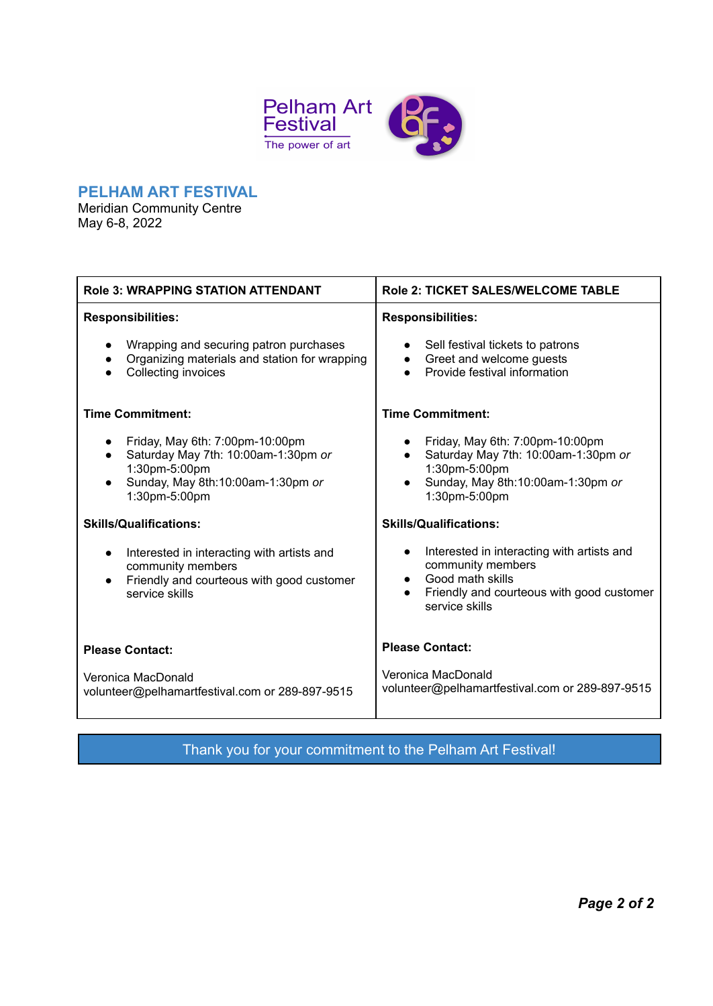

#### **PELHAM ART FESTIVAL**

Meridian Community Centre May 6-8, 2022

Ï

| <b>Role 3: WRAPPING STATION ATTENDANT</b>                                                                                                                  | <b>Role 2: TICKET SALES/WELCOME TABLE</b>                                                                                                                                    |
|------------------------------------------------------------------------------------------------------------------------------------------------------------|------------------------------------------------------------------------------------------------------------------------------------------------------------------------------|
| <b>Responsibilities:</b>                                                                                                                                   | <b>Responsibilities:</b>                                                                                                                                                     |
| Wrapping and securing patron purchases<br>Organizing materials and station for wrapping<br>Collecting invoices                                             | Sell festival tickets to patrons<br>Greet and welcome guests<br>$\bullet$<br>Provide festival information                                                                    |
| <b>Time Commitment:</b>                                                                                                                                    | <b>Time Commitment:</b>                                                                                                                                                      |
| Friday, May 6th: 7:00pm-10:00pm<br>Saturday May 7th: 10:00am-1:30pm or<br>$\bullet$<br>1:30pm-5:00pm<br>Sunday, May 8th:10:00am-1:30pm or<br>1:30pm-5:00pm | Friday, May 6th: 7:00pm-10:00pm<br>Saturday May 7th: 10:00am-1:30pm or<br>$\bullet$<br>1:30pm-5:00pm<br>Sunday, May 8th:10:00am-1:30pm or<br>1:30pm-5:00pm                   |
| <b>Skills/Qualifications:</b>                                                                                                                              | <b>Skills/Qualifications:</b>                                                                                                                                                |
| Interested in interacting with artists and<br>$\bullet$<br>community members<br>Friendly and courteous with good customer<br>$\bullet$<br>service skills   | Interested in interacting with artists and<br>$\bullet$<br>community members<br>Good math skills<br>$\bullet$<br>Friendly and courteous with good customer<br>service skills |
| <b>Please Contact:</b>                                                                                                                                     | <b>Please Contact:</b>                                                                                                                                                       |
| Veronica MacDonald<br>volunteer@pelhamartfestival.com or 289-897-9515                                                                                      | Veronica MacDonald<br>volunteer@pelhamartfestival.com or 289-897-9515                                                                                                        |

Thank you for your commitment to the Pelham Art Festival!